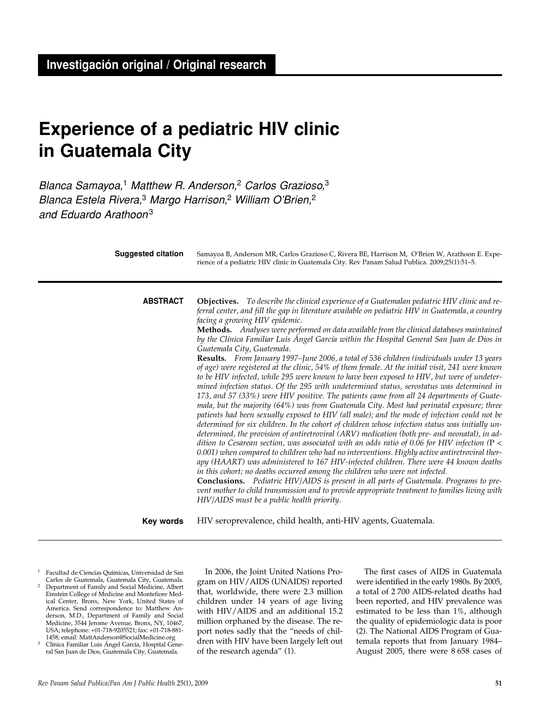# **Experience of a pediatric HIV clinic in Guatemala City**

Blanca Samayoa,<sup>1</sup> Matthew R. Anderson,<sup>2</sup> Carlos Grazioso,<sup>3</sup> Blanca Estela Rivera,<sup>3</sup> Margo Harrison,<sup>2</sup> William O'Brien,<sup>2</sup> and Eduardo Arathoon3

| <b>Suggested citation</b> | Samayoa B, Anderson MR, Carlos Grazioso C, Rivera BE, Harrison M, O'Brien W, Arathoon E. Expe-<br>rience of a pediatric HIV clinic in Guatemala City. Rev Panam Salud Publica. 2009;25(1):51-5.                                                                                                                                                                                                                                                                                                                                                                                                                                                                                                                                                                                                                                                                                                                                                                                                                                                                                                                                                                                                                                                                                                                                                                                                                                                                                                                                                                                                                                                                                                                                                                                                                                                                                                                                                                                           |
|---------------------------|-------------------------------------------------------------------------------------------------------------------------------------------------------------------------------------------------------------------------------------------------------------------------------------------------------------------------------------------------------------------------------------------------------------------------------------------------------------------------------------------------------------------------------------------------------------------------------------------------------------------------------------------------------------------------------------------------------------------------------------------------------------------------------------------------------------------------------------------------------------------------------------------------------------------------------------------------------------------------------------------------------------------------------------------------------------------------------------------------------------------------------------------------------------------------------------------------------------------------------------------------------------------------------------------------------------------------------------------------------------------------------------------------------------------------------------------------------------------------------------------------------------------------------------------------------------------------------------------------------------------------------------------------------------------------------------------------------------------------------------------------------------------------------------------------------------------------------------------------------------------------------------------------------------------------------------------------------------------------------------------|
| <b>ABSTRACT</b>           | <b>Objectives.</b> To describe the clinical experience of a Guatemalan pediatric HIV clinic and re-<br>ferral center, and fill the gap in literature available on pediatric HIV in Guatemala, a country<br>facing a growing HIV epidemic.<br>Methods. Analyses were performed on data available from the clinical databases maintained<br>by the Clínica Familiar Luis Ángel García within the Hospital General San Juan de Dios in<br>Guatemala City, Guatemala.<br>Results. From January 1997-June 2006, a total of 536 children (individuals under 13 years<br>of age) were registered at the clinic, 54% of them female. At the initial visit, 241 were known<br>to be HIV infected, while 295 were known to have been exposed to HIV, but were of undeter-<br>mined infection status. Of the 295 with undetermined status, serostatus was determined in<br>173, and 57 (33%) were HIV positive. The patients came from all 24 departments of Guate-<br>mala, but the majority (64%) was from Guatemala City. Most had perinatal exposure; three<br>patients had been sexually exposed to HIV (all male); and the mode of infection could not be<br>determined for six children. In the cohort of children whose infection status was initially un-<br>determined, the provision of antiretroviral (ARV) medication (both pre- and neonatal), in ad-<br>dition to Cesarean section, was associated with an odds ratio of 0.06 for HIV infection ( $P \leq$<br>0.001) when compared to children who had no interventions. Highly active antiretroviral ther-<br>apy (HAART) was administered to 167 HIV-infected children. There were 44 known deaths<br>in this cohort; no deaths occurred among the children who were not infected.<br><b>Conclusions.</b> Pediatric HIV/AIDS is present in all parts of Guatemala. Programs to pre-<br>vent mother to child transmission and to provide appropriate treatment to families living with<br>HIV/AIDS must be a public health priority. |
| Key words                 | HIV seroprevalence, child health, anti-HIV agents, Guatemala.                                                                                                                                                                                                                                                                                                                                                                                                                                                                                                                                                                                                                                                                                                                                                                                                                                                                                                                                                                                                                                                                                                                                                                                                                                                                                                                                                                                                                                                                                                                                                                                                                                                                                                                                                                                                                                                                                                                             |
|                           |                                                                                                                                                                                                                                                                                                                                                                                                                                                                                                                                                                                                                                                                                                                                                                                                                                                                                                                                                                                                                                                                                                                                                                                                                                                                                                                                                                                                                                                                                                                                                                                                                                                                                                                                                                                                                                                                                                                                                                                           |

<sup>1</sup> Facultad de Ciencias Químicas, Universidad de San Carlos de Guatemala, Guatemala City, Guatemala. <sup>2</sup> Department of Family and Social Medicine, Albert Einstein College of Medicine and Montefiore Medical Center, Bronx, New York, United States of America. Send correspondence to: Matthew Anderson, M.D., Department of Family and Social Medicine, 3544 Jerome Avenue, Bronx, NY, 10467, USA; telephone: +01-718-9205521; fax: +01-718-881- 1458; email: MattAnderson@SocialMedicine.org

<sup>3</sup> Clínica Familiar Luis Ángel García, Hospital General San Juan de Dios, Guatemala City, Guatemala.

In 2006, the Joint United Nations Program on HIV/AIDS (UNAIDS) reported that, worldwide, there were 2.3 million children under 14 years of age living with HIV/AIDS and an additional 15.2 million orphaned by the disease. The report notes sadly that the "needs of children with HIV have been largely left out of the research agenda" (1).

The first cases of AIDS in Guatemala were identified in the early 1980s. By 2005, a total of 2 700 AIDS-related deaths had been reported, and HIV prevalence was estimated to be less than 1%, although the quality of epidemiologic data is poor (2). The National AIDS Program of Guatemala reports that from January 1984– August 2005, there were 8 658 cases of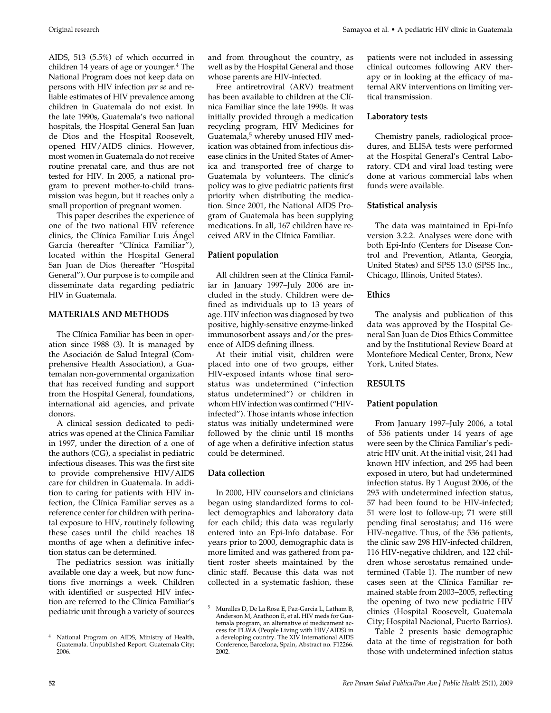AIDS, 513 (5.5%) of which occurred in children 14 years of age or younger.<sup>4</sup> The National Program does not keep data on persons with HIV infection *per se* and reliable estimates of HIV prevalence among children in Guatemala do not exist. In the late 1990s, Guatemala's two national hospitals, the Hospital General San Juan de Dios and the Hospital Roosevelt, opened HIV/AIDS clinics. However, most women in Guatemala do not receive routine prenatal care, and thus are not tested for HIV. In 2005, a national program to prevent mother-to-child transmission was begun, but it reaches only a small proportion of pregnant women.

This paper describes the experience of one of the two national HIV reference clinics, the Clínica Familiar Luis Ángel García (hereafter "Clínica Familiar"), located within the Hospital General San Juan de Dios (hereafter "Hospital General"). Our purpose is to compile and disseminate data regarding pediatric HIV in Guatemala.

### **MATERIALS AND METHODS**

The Clínica Familiar has been in operation since 1988 (3). It is managed by the Asociación de Salud Integral (Comprehensive Health Association), a Guatemalan non-governmental organization that has received funding and support from the Hospital General, foundations, international aid agencies, and private donors.

A clinical session dedicated to pediatrics was opened at the Clínica Familiar in 1997, under the direction of a one of the authors (CG), a specialist in pediatric infectious diseases. This was the first site to provide comprehensive HIV/AIDS care for children in Guatemala. In addition to caring for patients with HIV infection, the Clínica Familiar serves as a reference center for children with perinatal exposure to HIV, routinely following these cases until the child reaches 18 months of age when a definitive infection status can be determined.

The pediatrics session was initially available one day a week, but now functions five mornings a week. Children with identified or suspected HIV infection are referred to the Clínica Familiar's pediatric unit through a variety of sources and from throughout the country, as well as by the Hospital General and those whose parents are HIV-infected.

Free antiretroviral (ARV) treatment has been available to children at the Clínica Familiar since the late 1990s. It was initially provided through a medication recycling program, HIV Medicines for Guatemala,<sup>5</sup> whereby unused HIV medication was obtained from infectious disease clinics in the United States of America and transported free of charge to Guatemala by volunteers. The clinic's policy was to give pediatric patients first priority when distributing the medication. Since 2001, the National AIDS Program of Guatemala has been supplying medications. In all, 167 children have received ARV in the Clínica Familiar.

### **Patient population**

All children seen at the Clínica Familiar in January 1997–July 2006 are included in the study. Children were defined as individuals up to 13 years of age. HIV infection was diagnosed by two positive, highly-sensitive enzyme-linked immunosorbent assays and/or the presence of AIDS defining illness.

At their initial visit, children were placed into one of two groups, either HIV-exposed infants whose final serostatus was undetermined ("infection status undetermined") or children in whom HIV infection was confirmed ("HIVinfected"). Those infants whose infection status was initially undetermined were followed by the clinic until 18 months of age when a definitive infection status could be determined.

### **Data collection**

In 2000, HIV counselors and clinicians began using standardized forms to collect demographics and laboratory data for each child; this data was regularly entered into an Epi-Info database. For years prior to 2000, demographic data is more limited and was gathered from patient roster sheets maintained by the clinic staff. Because this data was not collected in a systematic fashion, these patients were not included in assessing clinical outcomes following ARV therapy or in looking at the efficacy of maternal ARV interventions on limiting vertical transmission.

#### **Laboratory tests**

Chemistry panels, radiological procedures, and ELISA tests were performed at the Hospital General's Central Laboratory. CD4 and viral load testing were done at various commercial labs when funds were available.

### **Statistical analysis**

The data was maintained in Epi-Info version 3.2.2. Analyses were done with both Epi-Info (Centers for Disease Control and Prevention, Atlanta, Georgia, United States) and SPSS 13.0 (SPSS Inc., Chicago, Illinois, United States).

## **Ethics**

The analysis and publication of this data was approved by the Hospital General San Juan de Dios Ethics Committee and by the Institutional Review Board at Montefiore Medical Center, Bronx, New York, United States.

### **RESULTS**

### **Patient population**

From January 1997–July 2006, a total of 536 patients under 14 years of age were seen by the Clínica Familiar's pediatric HIV unit. At the initial visit, 241 had known HIV infection, and 295 had been exposed in utero, but had undetermined infection status. By 1 August 2006, of the 295 with undetermined infection status, 57 had been found to be HIV-infected; 51 were lost to follow-up; 71 were still pending final serostatus; and 116 were HIV-negative. Thus, of the 536 patients, the clinic saw 298 HIV-infected children, 116 HIV-negative children, and 122 children whose serostatus remained undetermined (Table 1). The number of new cases seen at the Clínica Familiar remained stable from 2003–2005, reflecting the opening of two new pediatric HIV clinics (Hospital Roosevelt, Guatemala City; Hospital Nacional, Puerto Barrios).

Table 2 presents basic demographic data at the time of registration for both those with undetermined infection status

<sup>4</sup> National Program on AIDS, Ministry of Health, Guatemala. Unpublished Report. Guatemala City; 2006.

<sup>5</sup> Muralles D, De La Rosa E, Paz-Garcia L, Latham B, Anderson M, Arathoon E, et al. HIV meds for Guatemala program, an alternative of medicament access for PLWA (People Living with HIV/AIDS) in a developing country. The XIV International AIDS Conference, Barcelona, Spain, Abstract no. F12266. 2002.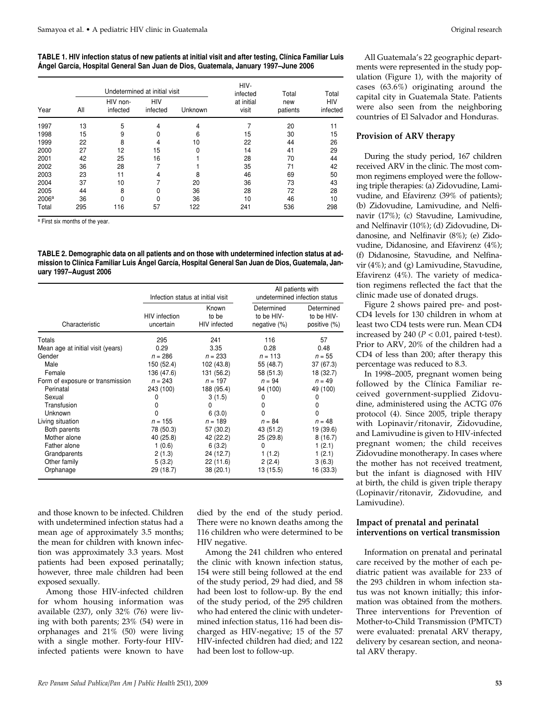#### **TABLE 1. HIV infection status of new patients at initial visit and after testing, Clínica Familiar Luis Ángel García, Hospital General San Juan de Dios, Guatemala, January 1997–June 2006**

| Year              |     | Undetermined at initial visit |                        |         |                                 | Total           | Total                  |
|-------------------|-----|-------------------------------|------------------------|---------|---------------------------------|-----------------|------------------------|
|                   | All | HIV non-<br>infected          | <b>HIV</b><br>infected | Unknown | infected<br>at initial<br>visit | new<br>patients | <b>HIV</b><br>infected |
| 1997              | 13  | 5                             | 4                      | 4       |                                 | 20              | 11                     |
| 1998              | 15  | 9                             | 0                      | 6       | 15                              | 30              | 15                     |
| 1999              | 22  | 8                             | 4                      | 10      | 22                              | 44              | 26                     |
| 2000              | 27  | 12                            | 15                     | 0       | 14                              | 41              | 29                     |
| 2001              | 42  | 25                            | 16                     |         | 28                              | 70              | 44                     |
| 2002              | 36  | 28                            |                        |         | 35                              | 71              | 42                     |
| 2003              | 23  | 11                            | 4                      | 8       | 46                              | 69              | 50                     |
| 2004              | 37  | 10                            | 7                      | 20      | 36                              | 73              | 43                     |
| 2005              | 44  | 8                             | N                      | 36      | 28                              | 72              | 28                     |
| 2006 <sup>a</sup> | 36  | ი                             | O                      | 36      | 10                              | 46              | 10                     |
| Total             | 295 | 116                           | 57                     | 122     | 241                             | 536             | 298                    |

<sup>a</sup> First six months of the year.

**TABLE 2. Demographic data on all patients and on those with undetermined infection status at admission to Clínica Familiar Luis Ángel García, Hospital General San Juan de Dios, Guatemala, January 1997–August 2006**

|                                   |                                   | Infection status at initial visit     | All patients with<br>undetermined infection status |                                          |
|-----------------------------------|-----------------------------------|---------------------------------------|----------------------------------------------------|------------------------------------------|
| Characteristic                    | <b>HIV</b> infection<br>uncertain | Known<br>to be<br><b>HIV</b> infected | Determined<br>to be HIV-<br>negative $(\%)$        | Determined<br>to be HIV-<br>positive (%) |
| Totals                            | 295                               | 241                                   | 116                                                | 57                                       |
| Mean age at initial visit (years) | 0.29                              | 3.35                                  | 0.28                                               | 0.48                                     |
| Gender                            | $n = 286$                         | $n = 233$                             | $n = 113$                                          | $n = 55$                                 |
| Male                              | 150 (52.4)                        | 102 (43.8)                            | 55 (48.7)                                          | 37 (67.3)                                |
| Female                            | 136 (47.6)                        | 131 (56.2)                            | 58 (51.3)                                          | 18 (32.7)                                |
| Form of exposure or transmission  | $n = 243$                         | $n = 197$                             | $n = 94$                                           | $n = 49$                                 |
| Perinatal                         | 243 (100)                         | 188 (95.4)                            | 94 (100)                                           | 49 (100)                                 |
| Sexual                            | 0                                 | 3(1.5)                                | 0                                                  | 0                                        |
| Transfusion                       | O                                 | 0                                     | 0                                                  | 0                                        |
| Unknown                           | ŋ                                 | 6(3.0)                                | 0                                                  | $\mathbf{0}$                             |
| Living situation                  | $n = 155$                         | $n = 189$                             | $n = 84$                                           | $n = 48$                                 |
| Both parents                      | 78 (50.3)                         | 57 (30.2)                             | 43 (51.2)                                          | 19 (39.6)                                |
| Mother alone                      | 40 (25.8)                         | 42 (22.2)                             | 25(29.8)                                           | 8(16.7)                                  |
| Father alone                      | 1(0.6)                            | 6(3.2)                                | 0                                                  | 1(2.1)                                   |
| Grandparents                      | 2(1.3)                            | 24 (12.7)                             | 1(1.2)                                             | 1(2.1)                                   |
| Other family                      | 5(3.2)                            | 22(11.6)                              | 2(2.4)                                             | 3(6.3)                                   |
| Orphanage                         | 29 (18.7)                         | 38(20.1)                              | 13 (15.5)                                          | 16 (33.3)                                |

and those known to be infected. Children with undetermined infection status had a mean age of approximately 3.5 months; the mean for children with known infection was approximately 3.3 years. Most patients had been exposed perinatally; however, three male children had been exposed sexually.

Among those HIV-infected children for whom housing information was available (237), only 32% (76) were living with both parents; 23% (54) were in orphanages and 21% (50) were living with a single mother. Forty-four HIVinfected patients were known to have

died by the end of the study period. There were no known deaths among the 116 children who were determined to be HIV negative.

Among the 241 children who entered the clinic with known infection status, 154 were still being followed at the end of the study period, 29 had died, and 58 had been lost to follow-up. By the end of the study period, of the 295 children who had entered the clinic with undetermined infection status, 116 had been discharged as HIV-negative; 15 of the 57 HIV-infected children had died; and 122 had been lost to follow-up.

All Guatemala's 22 geographic departments were represented in the study population (Figure 1), with the majority of cases (63.6%) originating around the capital city in Guatemala State. Patients were also seen from the neighboring countries of El Salvador and Honduras.

## **Provision of ARV therapy**

During the study period, 167 children received ARV in the clinic. The most common regimens employed were the following triple therapies: (a) Zidovudine, Lamivudine, and Efavirenz (39% of patients); (b) Zidovudine, Lamivudine, and Nelfinavir (17%); (c) Stavudine, Lamivudine, and Nelfinavir (10%); (d) Zidovudine, Didanosine, and Nelfinavir (8%); (e) Zidovudine, Didanosine, and Efavirenz (4%); (f) Didanosine, Stavudine, and Nelfinavir (4%); and (g) Lamivudine, Stavudine, Efavirenz (4%). The variety of medication regimens reflected the fact that the clinic made use of donated drugs.

Figure 2 shows paired pre- and post-CD4 levels for 130 children in whom at least two CD4 tests were run. Mean CD4 increased by 240 ( $P < 0.01$ , paired t-test). Prior to ARV, 20% of the children had a CD4 of less than 200; after therapy this percentage was reduced to 8.3.

In 1998–2005, pregnant women being followed by the Clínica Familiar received government-supplied Zidovudine, administered using the ACTG 076 protocol (4). Since 2005, triple therapy with Lopinavir/ritonavir, Zidovudine, and Lamivudine is given to HIV-infected pregnant women; the child receives Zidovudine monotherapy. In cases where the mother has not received treatment, but the infant is diagnosed with HIV at birth, the child is given triple therapy (Lopinavir/ritonavir, Zidovudine, and Lamivudine).

### **Impact of prenatal and perinatal interventions on vertical transmission**

Information on prenatal and perinatal care received by the mother of each pediatric patient was available for 233 of the 293 children in whom infection status was not known initially; this information was obtained from the mothers. Three interventions for Prevention of Mother-to-Child Transmission (PMTCT) were evaluated: prenatal ARV therapy, delivery by cesarean section, and neonatal ARV therapy.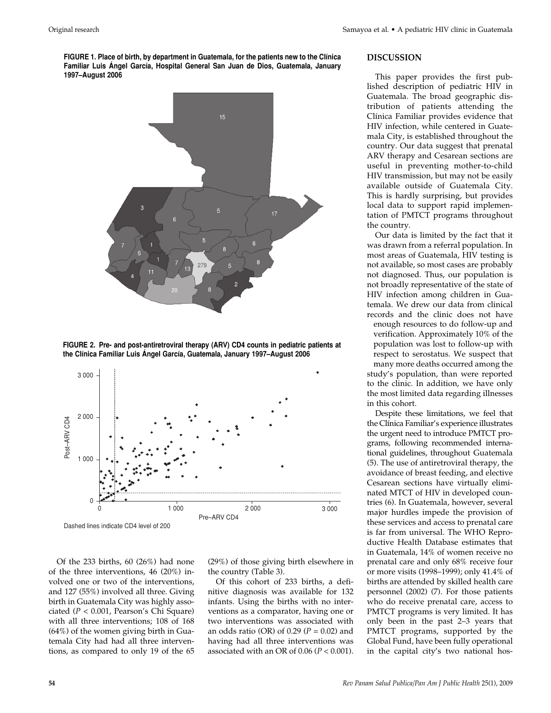**FIGURE 1. Place of birth, by department in Guatemala, for the patients new to the Clínica Familiar Luis Ángel García, Hospital General San Juan de Dios, Guatemala, January 1997–August 2006**







Of the 233 births, 60 (26%) had none of the three interventions, 46 (20%) involved one or two of the interventions, and 127 (55%) involved all three. Giving birth in Guatemala City was highly associated (*P* < 0.001, Pearson's Chi Square) with all three interventions; 108 of 168 (64%) of the women giving birth in Guatemala City had had all three interventions, as compared to only 19 of the 65

(29%) of those giving birth elsewhere in the country (Table 3).

Of this cohort of 233 births, a definitive diagnosis was available for 132 infants. Using the births with no interventions as a comparator, having one or two interventions was associated with an odds ratio (OR) of 0.29 (*P* = 0.02) and having had all three interventions was associated with an OR of 0.06 (*P* < 0.001).

#### **DISCUSSION**

This paper provides the first published description of pediatric HIV in Guatemala. The broad geographic distribution of patients attending the Clínica Familiar provides evidence that HIV infection, while centered in Guatemala City, is established throughout the country. Our data suggest that prenatal ARV therapy and Cesarean sections are useful in preventing mother-to-child HIV transmission, but may not be easily available outside of Guatemala City. This is hardly surprising, but provides local data to support rapid implementation of PMTCT programs throughout the country.

Our data is limited by the fact that it was drawn from a referral population. In most areas of Guatemala, HIV testing is not available, so most cases are probably not diagnosed. Thus, our population is not broadly representative of the state of HIV infection among children in Guatemala. We drew our data from clinical records and the clinic does not have enough resources to do follow-up and verification. Approximately 10% of the population was lost to follow-up with respect to serostatus. We suspect that many more deaths occurred among the study's population, than were reported to the clinic. In addition, we have only the most limited data regarding illnesses in this cohort.

Despite these limitations, we feel that the Clínica Familiar's experience illustrates the urgent need to introduce PMTCT programs, following recommended international guidelines, throughout Guatemala (5). The use of antiretroviral therapy, the avoidance of breast feeding, and elective Cesarean sections have virtually eliminated MTCT of HIV in developed countries (6). In Guatemala, however, several major hurdles impede the provision of these services and access to prenatal care is far from universal. The WHO Reproductive Health Database estimates that in Guatemala, 14% of women receive no prenatal care and only 68% receive four or more visits (1998–1999); only 41.4% of births are attended by skilled health care personnel (2002) (7). For those patients who do receive prenatal care, access to PMTCT programs is very limited. It has only been in the past 2–3 years that PMTCT programs, supported by the Global Fund, have been fully operational in the capital city's two national hos-